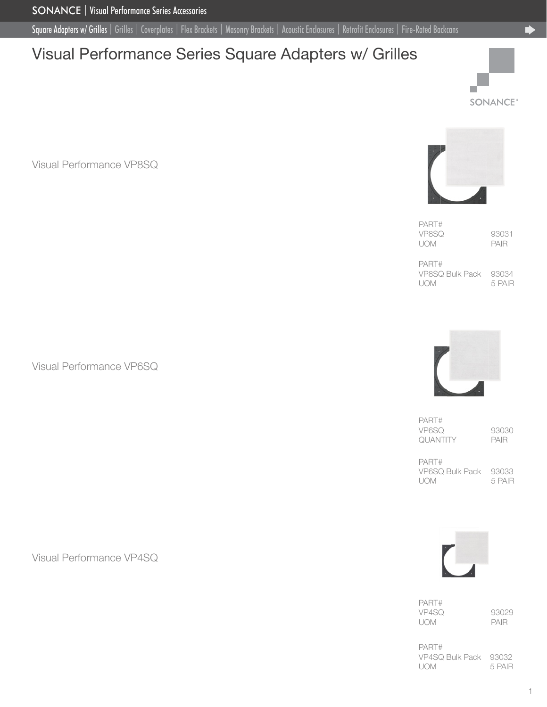<span id="page-0-0"></span>Square Adapters w/ Grilles [| Grilles |](#page-1-0) [Coverplates |](#page-3-0) [Flex Brackets |](#page-4-0) [Masonry Brackets |](#page-5-0) [Acoustic Enclosures |](#page-6-0) [Retrofit Enclosures](#page-7-0) [| Fire-Rated Backcans](#page-8-0)

# Visual Performance Series Square Adapters w/ Grilles







PART# VP8SQ 93031<br>UOM PAIR UOM

PART# VP8SQ Bulk Pack 93034 UOM 5 PAIR

PART# VP6SQ 93030<br>QUANTITY PAIR **QUANTITY** 

PART# VP6SQ Bulk Pack 93033 UOM 5 PAIR



PART# VP4SQ 93029 UOM PAIR

PART# VP4SQ Bulk Pack 93032 UOM 5 PAIR

Visual Performance VP6SQ

Visual Performance VP4SQ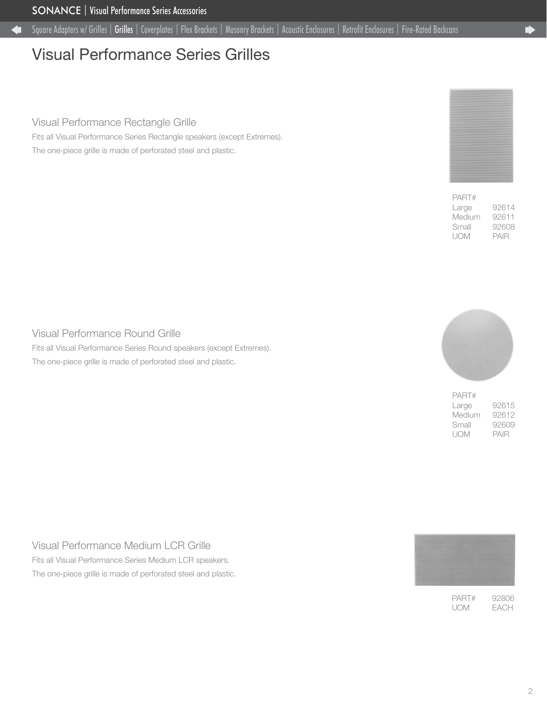# <span id="page-1-0"></span>Visual Performance Series Grilles

### Visual Performance Rectangle Grille

Fits all Visual Performance Series Rectangle speakers (except Extremes). The one-piece grille is made of perforated steel and plastic.



| PART#  |       |
|--------|-------|
| Large  | 92614 |
| Medium | 92611 |
| Small  | 92608 |
| UOM    | PAIR  |

### Visual Performance Round Grille

Fits all Visual Performance Series Round speakers (except Extremes). The one-piece grille is made of perforated steel and plastic.



| PART#  |       |
|--------|-------|
| Large  | 92615 |
| Medium | 92612 |
| Small  | 92609 |
| UOM    | PAIR  |

Visual Performance Medium LCR Grille Fits all Visual Performance Series Medium LCR speakers. The one-piece grille is made of perforated steel and plastic.

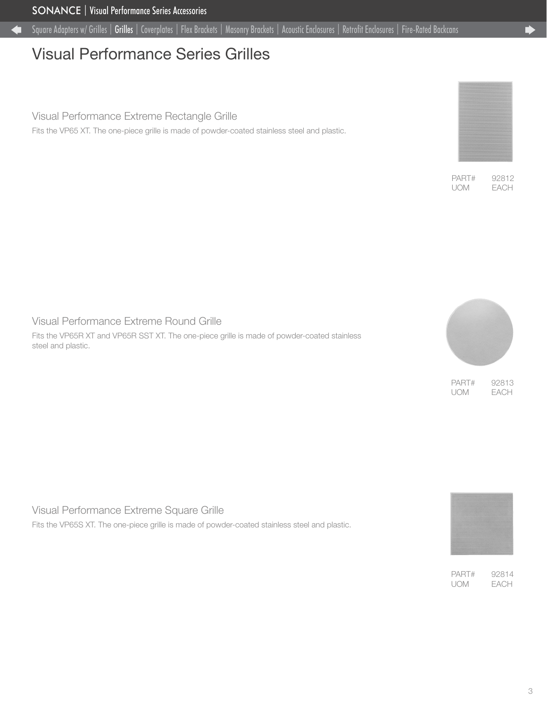Œ

# Visual Performance Series Grilles

### Visual Performance Extreme Rectangle Grille

Fits the VP65 XT. The one-piece grille is made of powder-coated stainless steel and plastic.

### Visual Performance Extreme Round Grille

Fits the VP65R XT and VP65R SST XT. The one-piece grille is made of powder-coated stainless steel and plastic.



PART# 92813 UOM EACH

Visual Performance Extreme Square Grille

Fits the VP65S XT. The one-piece grille is made of powder-coated stainless steel and plastic.



PART# 92814 UOM EACH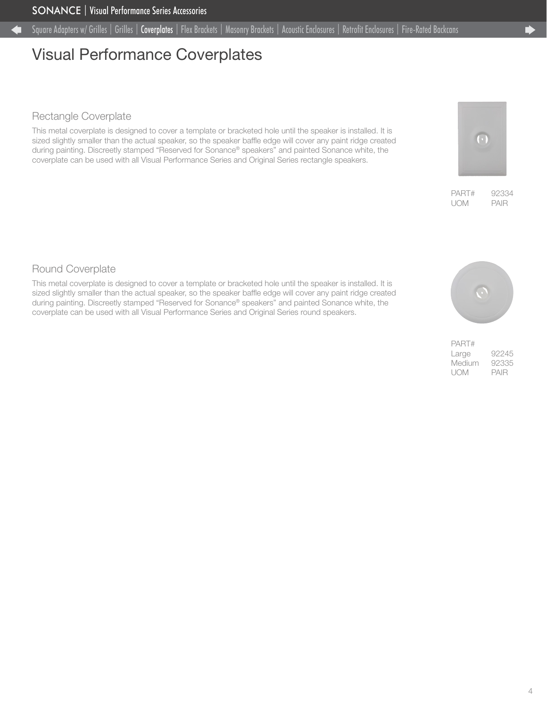## <span id="page-3-0"></span>Visual Performance Coverplates

### Rectangle Coverplate

This metal coverplate is designed to cover a template or bracketed hole until the speaker is installed. It is sized slightly smaller than the actual speaker, so the speaker baffle edge will cover any paint ridge created during painting. Discreetly stamped "Reserved for Sonance® speakers" and painted Sonance white, the coverplate can be used with all Visual Performance Series and Original Series rectangle speakers.

## Round Coverplate

This metal coverplate is designed to cover a template or bracketed hole until the speaker is installed. It is sized slightly smaller than the actual speaker, so the speaker baffle edge will cover any paint ridge created during painting. Discreetly stamped "Reserved for Sonance® speakers" and painted Sonance white, the coverplate can be used with all Visual Performance Series and Original Series round speakers.



PART# 92334 UOM PAIR

 $(\cdot)$ 

| PART#  |       |
|--------|-------|
| Large  | 92245 |
| Medium | 92335 |
| UOM    | PAIR  |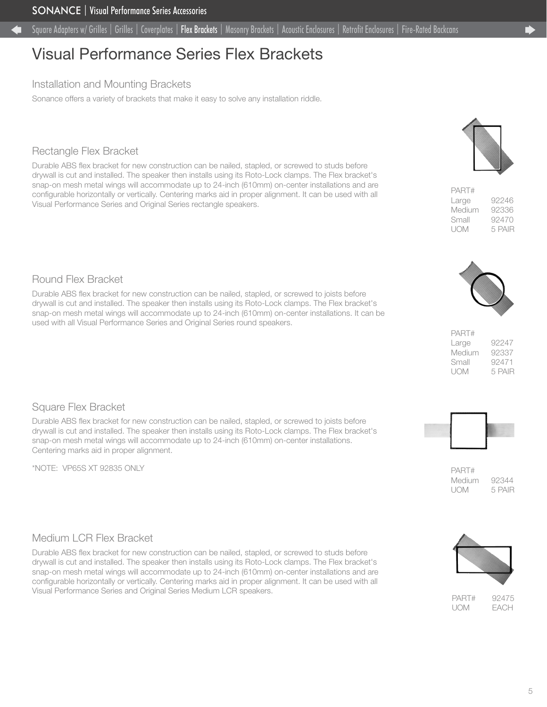# <span id="page-4-0"></span>Visual Performance Series Flex Brackets

### Installation and Mounting Brackets

Sonance offers a variety of brackets that make it easy to solve any installation riddle.

## Rectangle Flex Bracket

Durable ABS flex bracket for new construction can be nailed, stapled, or screwed to studs before drywall is cut and installed. The speaker then installs using its Roto-Lock clamps. The Flex bracket's snap-on mesh metal wings will accommodate up to 24-inch (610mm) on-center installations and are configurable horizontally or vertically. Centering marks aid in proper alignment. It can be used with all Visual Performance Series and Original Series rectangle speakers.

## Round Flex Bracket

Durable ABS flex bracket for new construction can be nailed, stapled, or screwed to joists before drywall is cut and installed. The speaker then installs using its Roto-Lock clamps. The Flex bracket's snap-on mesh metal wings will accommodate up to 24-inch (610mm) on-center installations. It can be used with all Visual Performance Series and Original Series round speakers.

## Square Flex Bracket

Durable ABS flex bracket for new construction can be nailed, stapled, or screwed to joists before drywall is cut and installed. The speaker then installs using its Roto-Lock clamps. The Flex bracket's snap-on mesh metal wings will accommodate up to 24-inch (610mm) on-center installations. Centering marks aid in proper alignment.

\*NOTE: VP65S XT 92835 ONLY

## Medium LCR Flex Bracket

Durable ABS flex bracket for new construction can be nailed, stapled, or screwed to studs before drywall is cut and installed. The speaker then installs using its Roto-Lock clamps. The Flex bracket's snap-on mesh metal wings will accommodate up to 24-inch (610mm) on-center installations and are configurable horizontally or vertically. Centering marks aid in proper alignment. It can be used with all Visual Performance Series and Original Series Medium LCR speakers.



| PART#  |        |
|--------|--------|
| Large  | 92246  |
| Medium | 92336  |
| Small  | 92470  |
| UOM    | 5 PAIR |



| PART#  |        |
|--------|--------|
| Large  | 92247  |
| Medium | 92337  |
| Small  | 92471  |
| UOM    | 5 PAIR |



PART# Medium 92344 UOM 5 PAIR



PART# 92475 UOM EACH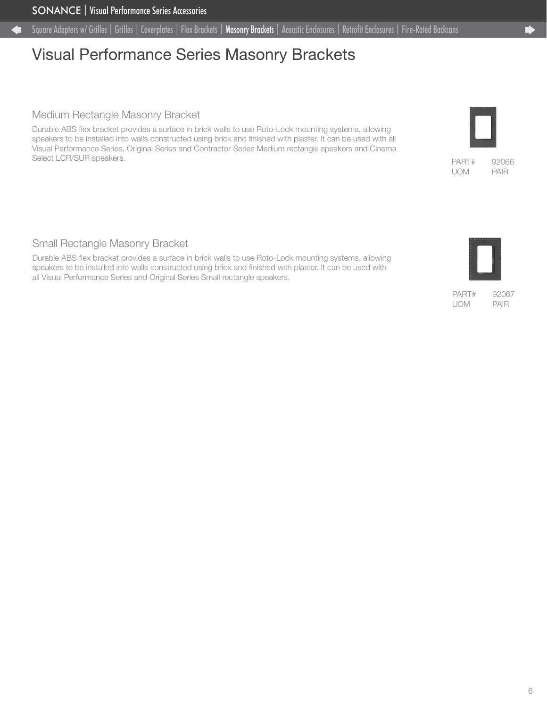# <span id="page-5-0"></span>Visual Performance Series Masonry Brackets

### Medium Rectangle Masonry Bracket

Durable ABS flex bracket provides a surface in brick walls to use Roto-Lock mounting systems, allowing speakers to be installed into walls constructed using brick and finished with plaster. It can be used with all Visual Performance Series, Original Series and Contractor Series Medium rectangle speakers and Cinema Select LCR/SUR speakers.

### Small Rectangle Masonry Bracket

Durable ABS flex bracket provides a surface in brick walls to use Roto-Lock mounting systems, allowing speakers to be installed into walls constructed using brick and finished with plaster. It can be used with all Visual Performance Series and Original Series Small rectangle speakers.

PART# 92067 UOM PAIR



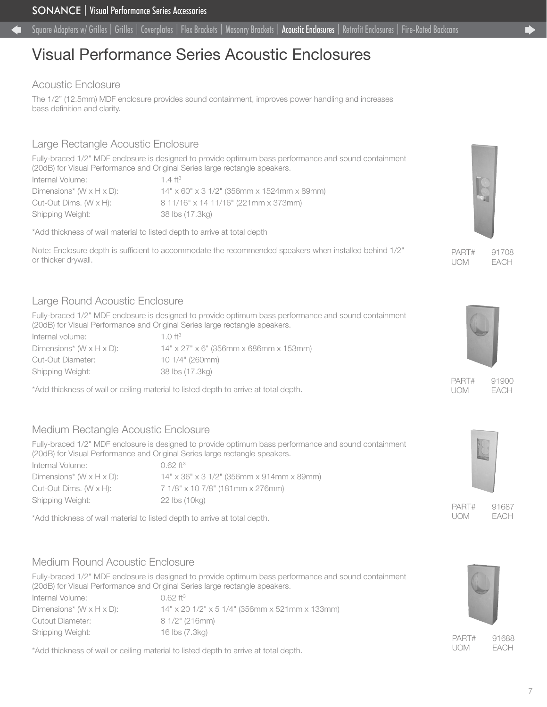# <span id="page-6-0"></span>Visual Performance Series Acoustic Enclosures

### Acoustic Enclosure

The 1/2" (12.5mm) MDF enclosure provides sound containment, improves power handling and increases bass definition and clarity.

## Large Rectangle Acoustic Enclosure

Fully-braced 1/2" MDF enclosure is designed to provide optimum bass performance and sound containment (20dB) for Visual Performance and Original Series large rectangle speakers.

Internal Volume: 1.4 ft<sup>3</sup> Dimensions\* (W x H x D): 14" x 60" x 3 1/2" (356mm x 1524mm x 89mm) Cut-Out Dims. (W x H): 8 11/16" x 14 11/16" (221mm x 373mm) Shipping Weight: 38 lbs (17.3kg)

\*Add thickness of wall material to listed depth to arrive at total depth

Note: Enclosure depth is sufficient to accommodate the recommended speakers when installed behind 1/2" or thicker drywall.

## Large Round Acoustic Enclosure

Fully-braced 1/2" MDF enclosure is designed to provide optimum bass performance and sound containment (20dB) for Visual Performance and Original Series large rectangle speakers.

| Internal volume:                       | $1 \cap H^3$                             |
|----------------------------------------|------------------------------------------|
| Dimensions* (W $\times$ H $\times$ D): | $14"$ x 27" x 6" (356mm x 686mm x 153mm) |
| Cut-Out Diameter:                      | 101/4" (260mm)                           |
| Shipping Weight:                       | 38 lbs (17.3ka)                          |

\*Add thickness of wall or ceiling material to listed depth to arrive at total depth.

## Medium Rectangle Acoustic Enclosure

Fully-braced 1/2" MDF enclosure is designed to provide optimum bass performance and sound containment (20dB) for Visual Performance and Original Series large rectangle speakers. Internal Volume: 0.62 ft<sup>3</sup>

Shipping Weight: 22 lbs (10kg)

Dimensions\* (W x H x D): 14" x 36" x 3 1/2" (356mm x 914mm x 89mm) Cut-Out Dims. (W x H): 7 1/8" x 10 7/8" (181mm x 276mm)

\*Add thickness of wall material to listed depth to arrive at total depth.

## Medium Round Acoustic Enclosure

Cutout Diameter: 8 1/2" (216mm) Shipping Weight: 16 lbs (7.3kg)

Fully-braced 1/2" MDF enclosure is designed to provide optimum bass performance and sound containment (20dB) for Visual Performance and Original Series large rectangle speakers. Internal Volume: 0.62 ft<sup>3</sup> Dimensions\* (W x H x D): 14" x 20 1/2" x 5 1/4" (356mm x 521mm x 133mm)

\*Add thickness of wall or ceiling material to listed depth to arrive at total depth.



PART# 91708 UOM EACH



PART# 91900 UOM EACH



PART# 91687 UOM EACH



UOM EACH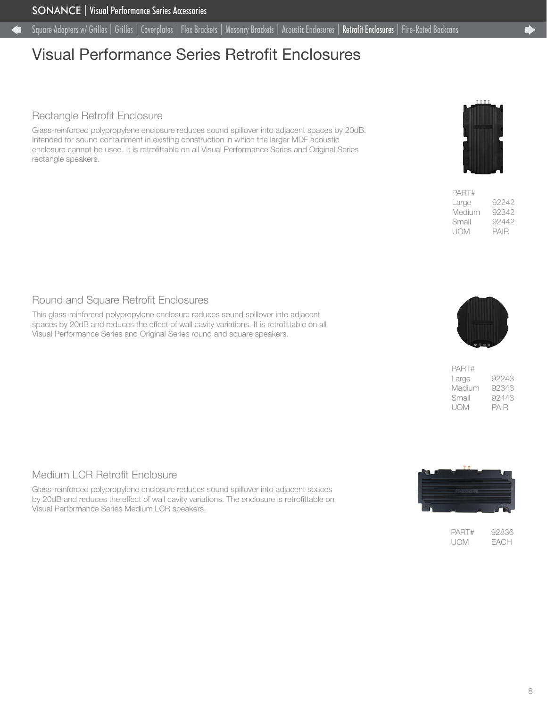# <span id="page-7-0"></span>Visual Performance Series Retrofit Enclosures

### Rectangle Retrofit Enclosure

Glass-reinforced polypropylene enclosure reduces sound spillover into adjacent spaces by 20dB. Intended for sound containment in existing construction in which the larger MDF acoustic enclosure cannot be used. It is retrofittable on all Visual Performance Series and Original Series rectangle speakers.



| PAH1#  |       |
|--------|-------|
| Large  | 92242 |
| Medium | 92342 |
| Small  | 92442 |
| UOM    | PAIR  |
|        |       |

 $\overline{\phantom{a}}$ 

### Round and Square Retrofit Enclosures

This glass-reinforced polypropylene enclosure reduces sound spillover into adjacent spaces by 20dB and reduces the effect of wall cavity variations. It is retrofittable on all Visual Performance Series and Original Series round and square speakers.



| PART#  |       |
|--------|-------|
| Large  | 92243 |
| Medium | 92343 |
| Small  | 92443 |
| UOM    | PAIR  |

### Medium LCR Retrofit Enclosure

Glass-reinforced polypropylene enclosure reduces sound spillover into adjacent spaces by 20dB and reduces the effect of wall cavity variations. The enclosure is retrofittable on Visual Performance Series Medium LCR speakers.



PART# 92836 UOM EACH